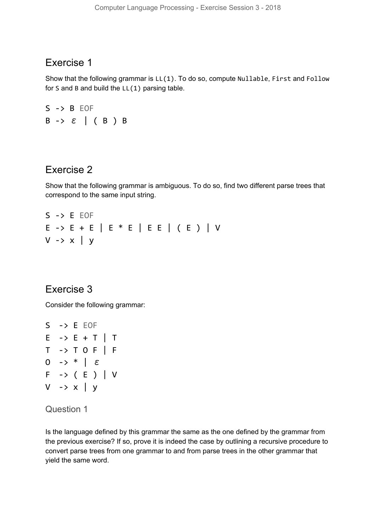# Exercise 1

Show that the following grammar is LL(1). To do so, compute Nullable, First and Follow for S and B and build the  $LL(1)$  parsing table.

 $S \rightarrow B$  EOF B -> ε | ( B ) B

# Exercise 2

Show that the following grammar is ambiguous. To do so, find two different parse trees that correspond to the same input string.

 $S \rightarrow E$  EOF E -> E + E | E \* E | E E | ( E ) | V  $V \rightarrow x \mid y$ 

# Exercise 3

Consider the following grammar:



#### Question 1

Is the language defined by this grammar the same as the one defined by the grammar from the previous exercise? If so, prove it is indeed the case by outlining a recursive procedure to convert parse trees from one grammar to and from parse trees in the other grammar that yield the same word.